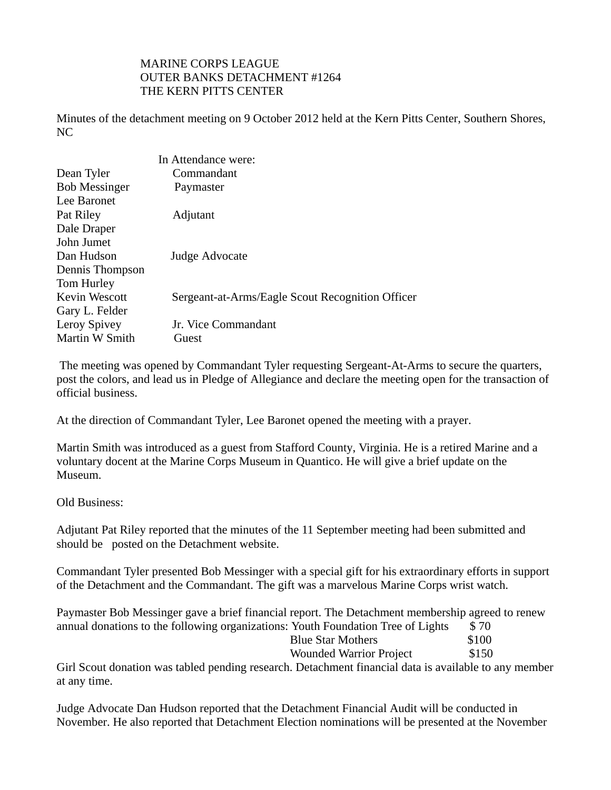## MARINE CORPS LEAGUE OUTER BANKS DETACHMENT #1264 THE KERN PITTS CENTER

Minutes of the detachment meeting on 9 October 2012 held at the Kern Pitts Center, Southern Shores, NC

|                      | In Attendance were:                              |
|----------------------|--------------------------------------------------|
| Dean Tyler           | Commandant                                       |
| <b>Bob Messinger</b> | Paymaster                                        |
| Lee Baronet          |                                                  |
| Pat Riley            | Adjutant                                         |
| Dale Draper          |                                                  |
| John Jumet           |                                                  |
| Dan Hudson           | Judge Advocate                                   |
| Dennis Thompson      |                                                  |
| Tom Hurley           |                                                  |
| Kevin Wescott        | Sergeant-at-Arms/Eagle Scout Recognition Officer |
| Gary L. Felder       |                                                  |
| Leroy Spivey         | Jr. Vice Commandant                              |
| Martin W Smith       | Guest                                            |

 The meeting was opened by Commandant Tyler requesting Sergeant-At-Arms to secure the quarters, post the colors, and lead us in Pledge of Allegiance and declare the meeting open for the transaction of official business.

At the direction of Commandant Tyler, Lee Baronet opened the meeting with a prayer.

Martin Smith was introduced as a guest from Stafford County, Virginia. He is a retired Marine and a voluntary docent at the Marine Corps Museum in Quantico. He will give a brief update on the Museum.

Old Business:

Adjutant Pat Riley reported that the minutes of the 11 September meeting had been submitted and should be posted on the Detachment website.

Commandant Tyler presented Bob Messinger with a special gift for his extraordinary efforts in support of the Detachment and the Commandant. The gift was a marvelous Marine Corps wrist watch.

Paymaster Bob Messinger gave a brief financial report. The Detachment membership agreed to renew annual donations to the following organizations: Youth Foundation Tree of Lights  $$70$ Blue Star Mothers \$100 Wounded Warrior Project \$150

Girl Scout donation was tabled pending research. Detachment financial data is available to any member at any time.

Judge Advocate Dan Hudson reported that the Detachment Financial Audit will be conducted in November. He also reported that Detachment Election nominations will be presented at the November